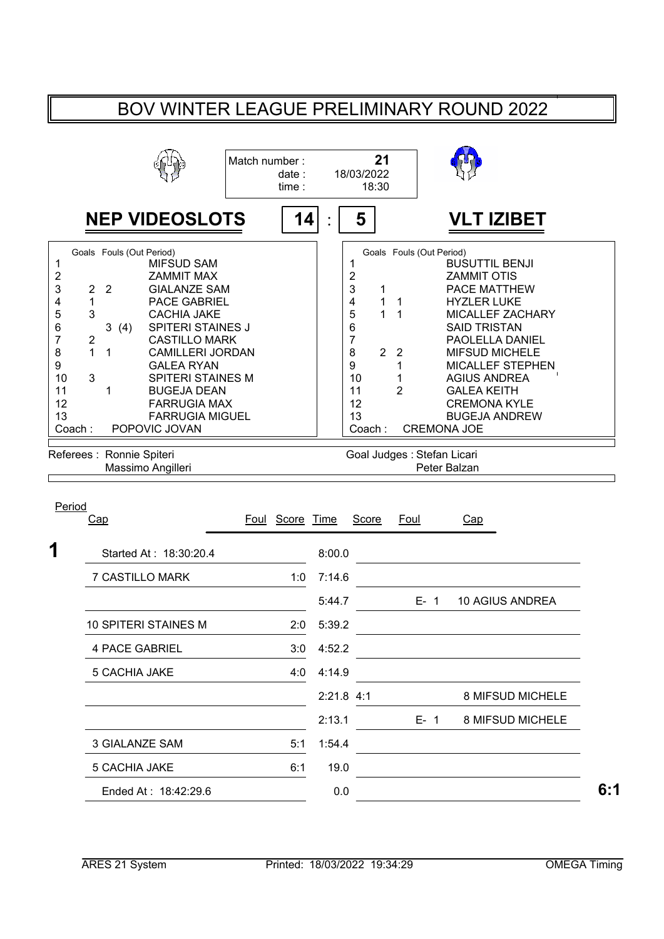## BOV WINTER LEAGUE PRELIMINARY ROUND 2022

|                                                                                                                          |                                                                                                                                                                                                                                                                                                                                                                                                                                                              | Match number:<br>date:<br>time: |                  | 21<br>18/03/2022<br>18:30                                                                                        |                                                                                  |                                                                                                                                                                                                                                                                                                                       |
|--------------------------------------------------------------------------------------------------------------------------|--------------------------------------------------------------------------------------------------------------------------------------------------------------------------------------------------------------------------------------------------------------------------------------------------------------------------------------------------------------------------------------------------------------------------------------------------------------|---------------------------------|------------------|------------------------------------------------------------------------------------------------------------------|----------------------------------------------------------------------------------|-----------------------------------------------------------------------------------------------------------------------------------------------------------------------------------------------------------------------------------------------------------------------------------------------------------------------|
|                                                                                                                          | <b>NEP VIDEOSLOTS</b>                                                                                                                                                                                                                                                                                                                                                                                                                                        |                                 | 14               | 5                                                                                                                |                                                                                  | VLT IZIBET                                                                                                                                                                                                                                                                                                            |
| $\mathbf 1$<br>$\overline{\mathbf{c}}$<br>3<br>4<br>5<br>6<br>$\overline{7}$<br>8<br>9<br>10<br>11<br>12<br>13<br>Coach: | Goals Fouls (Out Period)<br><b>MIFSUD SAM</b><br><b>ZAMMIT MAX</b><br>$\overline{2}$<br>$\overline{2}$<br><b>GIALANZE SAM</b><br>1<br><b>PACE GABRIEL</b><br>3<br><b>CACHIA JAKE</b><br>3(4)<br><b>SPITERI STAINES J</b><br>$\boldsymbol{2}$<br><b>CASTILLO MARK</b><br>1<br>1<br><b>CAMILLERI JORDAN</b><br><b>GALEA RYAN</b><br>3<br><b>SPITERI STAINES M</b><br>1<br><b>BUGEJA DEAN</b><br><b>FARRUGIA MAX</b><br><b>FARRUGIA MIGUEL</b><br>POPOVIC JOVAN |                                 |                  | 1<br>$\overline{\mathbf{c}}$<br>3<br>1<br>4<br>1<br>5<br>1<br>6<br>7<br>8<br>9<br>10<br>11<br>12<br>13<br>Coach: | Goals Fouls (Out Period)<br>1<br>1<br>2 <sub>2</sub><br>1<br>1<br>$\overline{2}$ | <b>BUSUTTIL BENJI</b><br><b>ZAMMIT OTIS</b><br><b>PACE MATTHEW</b><br><b>HYZLER LUKE</b><br>MICALLEF ZACHARY<br><b>SAID TRISTAN</b><br>PAOLELLA DANIEL<br><b>MIFSUD MICHELE</b><br>MICALLEF STEPHEN<br><b>AGIUS ANDREA</b><br><b>GALEA KEITH</b><br><b>CREMONA KYLE</b><br><b>BUGEJA ANDREW</b><br><b>CREMONA JOE</b> |
|                                                                                                                          | Referees : Ronnie Spiteri<br>Massimo Angilleri                                                                                                                                                                                                                                                                                                                                                                                                               |                                 |                  |                                                                                                                  | Goal Judges : Stefan Licari                                                      | Peter Balzan                                                                                                                                                                                                                                                                                                          |
| Period                                                                                                                   | Cap                                                                                                                                                                                                                                                                                                                                                                                                                                                          | Foul Score Time                 |                  | Score                                                                                                            | Foul                                                                             | Cap                                                                                                                                                                                                                                                                                                                   |
| 1                                                                                                                        | Started At: 18:30:20.4                                                                                                                                                                                                                                                                                                                                                                                                                                       |                                 | 8:00.0           |                                                                                                                  |                                                                                  |                                                                                                                                                                                                                                                                                                                       |
|                                                                                                                          | <b>7 CASTILLO MARK</b>                                                                                                                                                                                                                                                                                                                                                                                                                                       | 1:0                             | 7:14.6           |                                                                                                                  |                                                                                  |                                                                                                                                                                                                                                                                                                                       |
|                                                                                                                          |                                                                                                                                                                                                                                                                                                                                                                                                                                                              |                                 | 5:44.7           |                                                                                                                  | $E - 1$                                                                          | 10 AGIUS ANDREA                                                                                                                                                                                                                                                                                                       |
|                                                                                                                          | <b>10 SPITERI STAINES M</b><br>4 PACE GABRIEL                                                                                                                                                                                                                                                                                                                                                                                                                | 2:0<br>3:0                      | 5:39.2<br>4:52.2 |                                                                                                                  |                                                                                  |                                                                                                                                                                                                                                                                                                                       |
|                                                                                                                          | 5 CACHIA JAKE                                                                                                                                                                                                                                                                                                                                                                                                                                                | 4:0                             | 4:14.9           |                                                                                                                  |                                                                                  |                                                                                                                                                                                                                                                                                                                       |
|                                                                                                                          |                                                                                                                                                                                                                                                                                                                                                                                                                                                              |                                 | $2:21.8$ 4:1     |                                                                                                                  |                                                                                  | 8 MIFSUD MICHELE                                                                                                                                                                                                                                                                                                      |
|                                                                                                                          |                                                                                                                                                                                                                                                                                                                                                                                                                                                              |                                 | 2:13.1           |                                                                                                                  | $E - 1$                                                                          | 8 MIFSUD MICHELE                                                                                                                                                                                                                                                                                                      |
|                                                                                                                          | 3 GIALANZE SAM                                                                                                                                                                                                                                                                                                                                                                                                                                               | 5:1                             | 1:54.4           |                                                                                                                  |                                                                                  |                                                                                                                                                                                                                                                                                                                       |
|                                                                                                                          | 5 CACHIA JAKE                                                                                                                                                                                                                                                                                                                                                                                                                                                | 6:1                             | 19.0             |                                                                                                                  |                                                                                  |                                                                                                                                                                                                                                                                                                                       |

Ended At : 18:42:29.6 **6:1** 0.0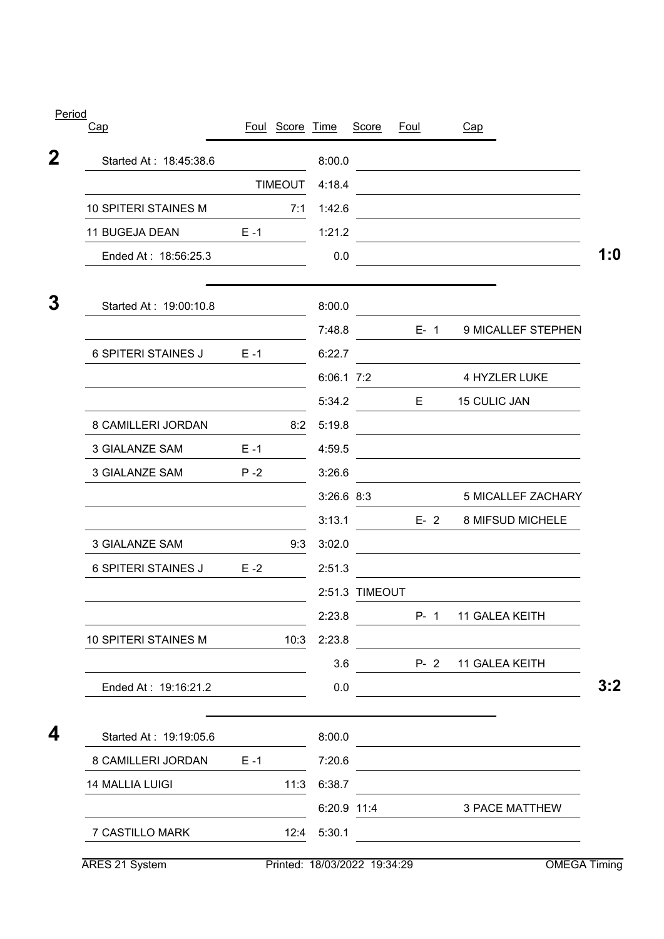| Cap                         |                | Foul Score Time |                | Score          | <u>Foul</u> | Cap                                                                                                                    |
|-----------------------------|----------------|-----------------|----------------|----------------|-------------|------------------------------------------------------------------------------------------------------------------------|
| Started At: 18:45:38.6      |                |                 | 8:00.0         |                |             | the control of the control of the control of the control of the control of                                             |
|                             | <b>TIMEOUT</b> |                 | 4:18.4         |                |             |                                                                                                                        |
| <b>10 SPITERI STAINES M</b> |                | 7:1             | 1:42.6         |                |             | <u> 1989 - Johann Stoff, deutscher Stoffen und der Stoffen und der Stoffen und der Stoffen und der Stoffen und der</u> |
| 11 BUGEJA DEAN              | $E - 1$        |                 | 1:21.2         |                |             | <u> 1980 - Andrea Stadt Britain, amerikansk politik (</u>                                                              |
| Ended At: 18:56:25.3        |                |                 | 0.0            |                |             |                                                                                                                        |
| Started At: 19:00:10.8      |                |                 | 8:00.0         |                |             |                                                                                                                        |
|                             |                |                 | 7:48.8         |                | $E-1$       | 9 MICALLEF STEPHEN                                                                                                     |
| <b>6 SPITERI STAINES J</b>  | $E - 1$        |                 | 6:22.7         |                |             |                                                                                                                        |
|                             |                |                 | 6:06.1 7:2     |                |             | 4 HYZLER LUKE                                                                                                          |
|                             |                |                 | 5:34.2         |                | E.          | 15 CULIC JAN                                                                                                           |
| 8 CAMILLERI JORDAN          |                | 8:2             | 5:19.8         |                |             |                                                                                                                        |
| 3 GIALANZE SAM              | $E - 1$        |                 | 4:59.5         |                |             |                                                                                                                        |
| <b>3 GIALANZE SAM</b>       | $P - 2$        |                 | 3:26.6         |                |             |                                                                                                                        |
|                             |                |                 | $3:26.6$ $8:3$ |                |             | 5 MICALLEF ZACHARY                                                                                                     |
|                             |                |                 | 3:13.1         |                | $E - 2$     | 8 MIFSUD MICHELE                                                                                                       |
| <b>3 GIALANZE SAM</b>       |                | 9:3             | 3:02.0         |                |             | the contract of the contract of the contract of the contract of the contract of                                        |
| <b>6 SPITERI STAINES J</b>  | $E - 2$        |                 | 2:51.3         |                |             |                                                                                                                        |
|                             |                |                 |                | 2:51.3 TIMEOUT |             |                                                                                                                        |
|                             |                |                 | 2:23.8         |                |             | P- 1 11 GALEA KEITH                                                                                                    |
| 10 SPITERI STAINES M        |                | 10:3            | 2:23.8         |                |             |                                                                                                                        |
|                             |                |                 | 3.6            |                |             | P- 2 11 GALEA KEITH                                                                                                    |
| Ended At: 19:16:21.2        |                |                 | 0.0            |                |             | <u> 1980 - Johann Barbara, martxa eta politikar</u>                                                                    |
| Started At: 19:19:05.6      |                |                 |                |                |             | 8:00.0                                                                                                                 |
| 8 CAMILLERI JORDAN          | $E - 1$        |                 | 7:20.6         |                |             | the control of the control of the control of the control of the control of                                             |
| <b>14 MALLIA LUIGI</b>      |                | 11:3            | 6:38.7         |                |             |                                                                                                                        |
|                             |                |                 |                | 6:20.9 11:4    |             | 3 PACE MATTHEW                                                                                                         |
| 7 CASTILLO MARK             |                | 12:4            | 5:30.1         |                |             |                                                                                                                        |